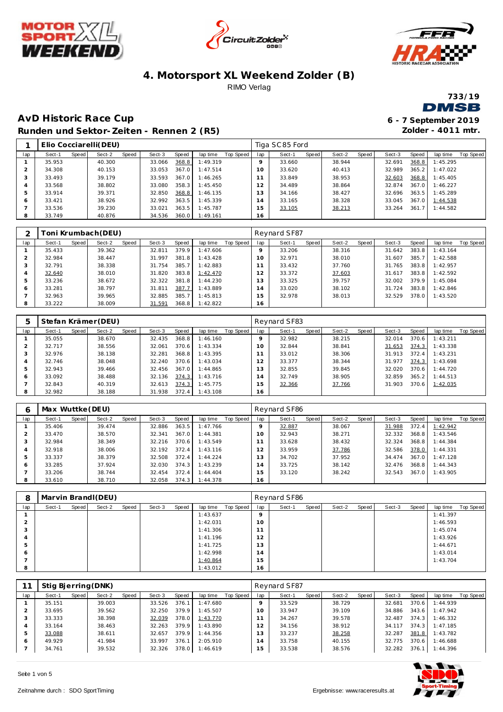







**Zolder - 4011 mtr.**

### **AvD Historic Race Cup 6 - 7 September 2019 Runden und Sektor-Zeiten - Rennen 2 (R5)**

|     |        |       | Elio Cocciarelli(DEU) |       |        |       |          |           |     | Tiga SC85 Ford |       |        |       |        |       |          |           |
|-----|--------|-------|-----------------------|-------|--------|-------|----------|-----------|-----|----------------|-------|--------|-------|--------|-------|----------|-----------|
| lap | Sect-1 | Speed | Sect-2                | Speed | Sect-3 | Speed | lap time | Top Speed | lap | Sect-1         | Speed | Sect-2 | Speed | Sect-3 | Speed | lap time | Top Speed |
|     | 35.953 |       | 40.300                |       | 33.066 | 368.8 | 1:49.319 |           |     | 33.660         |       | 38.944 |       | 32.691 | 368.8 | 1:45.295 |           |
|     | 34.308 |       | 40.153                |       | 33.053 | 367.0 | 1:47.514 |           | 10  | 33.620         |       | 40.413 |       | 32.989 | 365.2 | 1:47.022 |           |
|     | 33.493 |       | 39.179                |       | 33.593 | 367.0 | 1:46.265 |           |     | 33.849         |       | 38.953 |       | 32.603 | 368.8 | 1:45.405 |           |
|     | 33.568 |       | 38.802                |       | 33.080 | 358.3 | 1:45.450 |           | 12  | 34.489         |       | 38.864 |       | 32.874 | 367.0 | 1:46.227 |           |
|     | 33.914 |       | 39.371                |       | 32.850 | 368.8 | 1:46.135 |           | 13  | 34.166         |       | 38.427 |       | 32.696 | 363.5 | 1:45.289 |           |
| 6   | 33.421 |       | 38.926                |       | 32.992 | 363.5 | 1:45.339 |           | 4   | 33.165         |       | 38.328 |       | 33.045 | 367.0 | 1:44.538 |           |
|     | 33.536 |       | 39.230                |       | 33.021 | 363.5 | 1:45.787 |           | 5   | 33.105         |       | 38.213 |       | 33.264 | 361.7 | 1:44.582 |           |
|     | 33.749 |       | 40.876                |       | 34.536 | 360.0 | 1:49.161 |           | 16  |                |       |        |       |        |       |          |           |
|     |        |       |                       |       |        |       |          |           |     |                |       |        |       |        |       |          |           |

|               |        |       | [oni Krumbach(DEU) |       |        |       |          |           |          | Reynard SF87 |       |        |       |        |       |          |           |
|---------------|--------|-------|--------------------|-------|--------|-------|----------|-----------|----------|--------------|-------|--------|-------|--------|-------|----------|-----------|
| lap           | Sect-1 | Speed | Sect-2             | Speed | Sect-3 | Speed | lap time | Top Speed | lap      | Sect-1       | Speed | Sect-2 | Speed | Sect-3 | Speed | lap time | Top Speed |
|               | 35.433 |       | 39.362             |       | 32.811 | 379.9 | 1:47.606 |           |          | 33.206       |       | 38.316 |       | 31.642 | 383.8 | 1:43.164 |           |
|               | 32.984 |       | 38.447             |       | 31.997 | 381.8 | 1:43.428 |           | $\Omega$ | 32.971       |       | 38.010 |       | 31.607 | 385.7 | 1:42.588 |           |
| 3             | 32.791 |       | 38.338             |       | 31.754 | 385.7 | 1:42.883 |           |          | 33.432       |       | 37.760 |       | 31.765 | 383.8 | 1:42.957 |           |
| 4             | 32.640 |       | 38.010             |       | 31.820 | 383.8 | 1:42.470 |           |          | 33.372       |       | 37.603 |       | 31.617 | 383.8 | 1:42.592 |           |
| $\mathcal{P}$ | 33.236 |       | 38.672             |       | 32.322 | 381.8 | 1:44.230 |           |          | 33.325       |       | 39.757 |       | 32.002 | 379.9 | 1:45.084 |           |
| 6             | 33.281 |       | 38.797             |       | 31.811 | 387.7 | 1:43.889 |           | 4        | 33.020       |       | 38.102 |       | 31.724 | 383.8 | 1:42.846 |           |
|               | 32.963 |       | 39.965             |       | 32.885 | 385.7 | 1:45.813 |           | 5        | 32.978       |       | 38.013 |       | 32.529 | 378.0 | 1:43.520 |           |
| 8             | 33.222 |       | 38.009             |       | 31.591 | 368.8 | 1:42.822 |           | 16       |              |       |        |       |        |       |          |           |

| $\mathbf b$ |        |       | Stefan Krämer (DEU) |       |        |       |          |           |                | Reynard SF83 |       |        |       |        |       |          |           |
|-------------|--------|-------|---------------------|-------|--------|-------|----------|-----------|----------------|--------------|-------|--------|-------|--------|-------|----------|-----------|
| lap         | Sect-1 | Speed | Sect-2              | Speed | Sect-3 | Speed | lap time | Top Speed | lap            | Sect-1       | Speed | Sect-2 | Speed | Sect-3 | Speed | lap time | Top Speed |
|             | 35.055 |       | 38.670              |       | 32.435 | 368.8 | 1:46.160 |           |                | 32.982       |       | 38.215 |       | 32.014 | 370.6 | 1:43.211 |           |
|             | 32.717 |       | 38.556              |       | 32.061 | 370.6 | 1:43.334 |           |                | 32.844       |       | 38.841 |       | 31.653 | 374.3 | 1:43.338 |           |
| 3           | 32.976 |       | 38.138              |       | 32.281 | 368.8 | 1:43.395 |           |                | 33.012       |       | 38.306 |       | 31.913 | 372.4 | 1:43.231 |           |
| 4           | 32.746 |       | 38.048              |       | 32.240 | 370.6 | 1:43.034 |           | $\overline{2}$ | 33.377       |       | 38.344 |       | 31.977 | 374.3 | 1:43.698 |           |
| 5           | 32.943 |       | 39.466              |       | 32.456 | 367.0 | 1:44.865 |           | 3              | 32.855       |       | 39.845 |       | 32.020 | 370.6 | 1:44.720 |           |
| O           | 33.092 |       | 38.488              |       | 32.136 | 374.3 | 1:43.716 |           | 14             | 32.749       |       | 38.905 |       | 32.859 | 365.2 | 1:44.513 |           |
|             | 32.843 |       | 40.319              |       | 32.613 | 374.3 | 1:45.775 |           | 5              | 32.366       |       | 37.766 |       | 31.903 | 370.6 | 1:42.035 |           |
| 8           | 32.982 |       | 38.188              |       | 31.938 | 372.4 | 1:43.108 |           | 16             |              |       |        |       |        |       |          |           |

| 6   | Max Wuttke (DEU) |       |        |       |        |       |          |           |     | Reynard SF86 |       |        |       |        |       |          |           |
|-----|------------------|-------|--------|-------|--------|-------|----------|-----------|-----|--------------|-------|--------|-------|--------|-------|----------|-----------|
| lap | Sect-1           | Speed | Sect-2 | Speed | Sect-3 | Speed | lap time | Top Speed | lap | Sect-1       | Speed | Sect-2 | Speed | Sect-3 | Speed | lap time | Top Speed |
|     | 35.406           |       | 39.474 |       | 32.886 | 363.5 | 1:47.766 |           |     | 32.887       |       | 38.067 |       | 31.988 | 372.4 | 1:42.942 |           |
|     | 33.470           |       | 38.570 |       | 32.341 | 367.0 | 1:44.381 |           | 10  | 32.943       |       | 38.271 |       | 32.332 | 368.8 | 1:43.546 |           |
|     | 32.984           |       | 38.349 |       | 32.216 | 370.6 | 1:43.549 |           |     | 33.628       |       | 38.432 |       | 32.324 | 368.8 | 1:44.384 |           |
|     | 32.918           |       | 38.006 |       | 32.192 | 372.4 | 1:43.116 |           |     | 33.959       |       | 37.786 |       | 32.586 | 378.0 | 1:44.331 |           |
| 5   | 33.337           |       | 38.379 |       | 32.508 | 372.4 | 1:44.224 |           | 13  | 34.702       |       | 37.952 |       | 34.474 | 367.0 | 1:47.128 |           |
| 6   | 33.285           |       | 37.924 |       | 32.030 | 374.3 | 1:43.239 |           | 14  | 33.725       |       | 38.142 |       | 32.476 | 368.8 | 1:44.343 |           |
|     | 33.206           |       | 38.744 |       | 32.454 | 372.4 | 1:44.404 |           | 15  | 33.120       |       | 38.242 |       | 32.543 | 367.0 | 1:43.905 |           |
| 8   | 33.610           |       | 38.710 |       | 32.058 | 374.3 | 1:44.378 |           | 16  |              |       |        |       |        |       |          |           |

| 8            |        |       | Marvin Brandl(DEU) |       |        |       |          |           |         | Reynard SF86 |       |        |       |        |       |          |                  |
|--------------|--------|-------|--------------------|-------|--------|-------|----------|-----------|---------|--------------|-------|--------|-------|--------|-------|----------|------------------|
| lap          | Sect-1 | Speed | Sect-2             | Speed | Sect-3 | Speed | lap time | Top Speed | lap     | Sect-1       | Speed | Sect-2 | Speed | Sect-3 | Speed | lap time | <b>Top Speed</b> |
|              |        |       |                    |       |        |       | 1:43.637 |           | $\circ$ |              |       |        |       |        |       | 1:41.397 |                  |
| ∠            |        |       |                    |       |        |       | 1:42.031 |           | 10      |              |       |        |       |        |       | 1:46.593 |                  |
| $\sim$<br>×. |        |       |                    |       |        |       | 1:41.306 |           | 11      |              |       |        |       |        |       | 1:45.074 |                  |
|              |        |       |                    |       |        |       | 1:41.196 |           | 12      |              |       |        |       |        |       | 1:43.926 |                  |
| 5            |        |       |                    |       |        |       | 1:41.725 |           | 13      |              |       |        |       |        |       | 1:44.671 |                  |
| 6            |        |       |                    |       |        |       | 1:42.998 |           | 14      |              |       |        |       |        |       | 1:43.014 |                  |
|              |        |       |                    |       |        |       | 1:40.864 |           | 15      |              |       |        |       |        |       | 1:43.704 |                  |
| 8            |        |       |                    |       |        |       | 1:43.012 |           | 16      |              |       |        |       |        |       |          |                  |

|     | Stig Bjerring (DNK) |       |        |       |        |       |          |           |     | Reynard SF87 |       |        |       |        |       |          |           |
|-----|---------------------|-------|--------|-------|--------|-------|----------|-----------|-----|--------------|-------|--------|-------|--------|-------|----------|-----------|
| lap | Sect-1              | Speed | Sect-2 | Speed | Sect-3 | Speed | lap time | Top Speed | lap | Sect-1       | Speed | Sect-2 | Speed | Sect-3 | Speed | lap time | Top Speed |
|     | 35.151              |       | 39.003 |       | 33.526 | 376.7 | 1:47.680 |           | 9   | 33.529       |       | 38.729 |       | 32.681 | 370.6 | 1:44.939 |           |
|     | 33.695              |       | 39.562 |       | 32.250 | 379.9 | 1:45.507 |           | 10  | 33.947       |       | 39.109 |       | 34.886 | 343.6 | 1:47.942 |           |
| 3   | 33.333              |       | 38.398 |       | 32.039 | 378.0 | 1:43.770 |           |     | 34.267       |       | 39.578 |       | 32.487 | 374.3 | 1:46.332 |           |
| 4   | 33.164              |       | 38.463 |       | 32.263 | 379.9 | 1:43.890 |           |     | 34.156       |       | 38.912 |       | 34.117 | 374.3 | 1:47.185 |           |
| 5   | 33.088              |       | 38.611 |       | 32.657 | 379.9 | 1:44.356 |           | 3   | 33.237       |       | 38.258 |       | 32.287 | 381.8 | 1:43.782 |           |
| 6   | 49.929              |       | 41.984 |       | 33.997 | 376.7 | 2:05.910 |           | 4   | 33.758       |       | 40.155 |       | 32.775 | 370.6 | 1:46.688 |           |
|     | 34.761              |       | 39.532 |       | 32.326 | 378.0 | 1:46.619 |           | 15  | 33.538       |       | 38.576 |       | 32.282 | 376.1 | 1:44.396 |           |

Seite 1 von 5

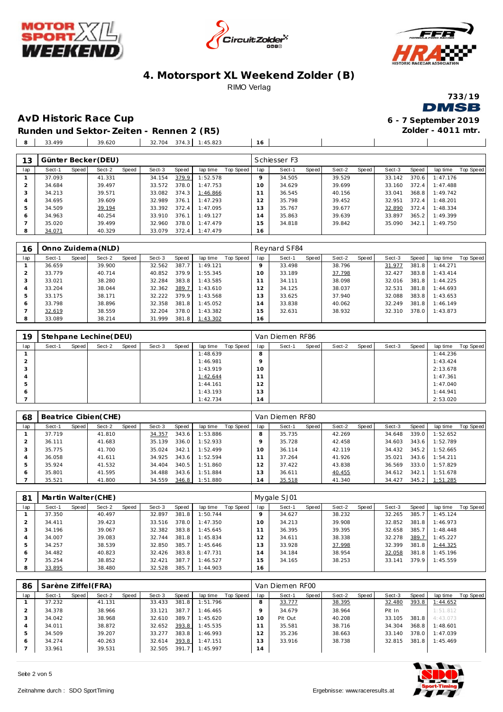







**Zolder - 4011 mtr.**

 $\mathbf{I}$ 

### **AvD Historic Race Cup 6 - 7 September 2019**

**Runden und Sektor-Zeiten - Rennen 2 (R5)** 33.499 **8** 39.620 **8** 32.704 374.3 1:45.823 16

| 13  |        |       | Günter Becker (DEU) |       |        |       |          |           |                | Schiesser F3 |       |        |       |        |       |          |           |
|-----|--------|-------|---------------------|-------|--------|-------|----------|-----------|----------------|--------------|-------|--------|-------|--------|-------|----------|-----------|
| lap | Sect-1 | Speed | Sect-2              | Speed | Sect-3 | Speed | lap time | Top Speed | lap            | Sect-1       | Speed | Sect-2 | Speed | Sect-3 | Speed | lap time | Top Speed |
|     | 37.093 |       | 41.331              |       | 34.154 | 379.9 | 1:52.578 |           | $\circ$        | 34.505       |       | 39.529 |       | 33.142 | 370.6 | 1:47.176 |           |
|     | 34.684 |       | 39.497              |       | 33.572 | 378.0 | 1:47.753 |           | 10             | 34.629       |       | 39.699 |       | 33.160 | 372.4 | 1:47.488 |           |
|     | 34.213 |       | 39.571              |       | 33.082 | 374.3 | 1:46.866 |           |                | 36.545       |       | 40.156 |       | 33.041 | 368.8 | 1:49.742 |           |
| 4   | 34.695 |       | 39.609              |       | 32.989 | 376.1 | 1:47.293 |           | 12             | 35.798       |       | 39.452 |       | 32.951 | 372.4 | 1:48.201 |           |
| 5.  | 34.509 |       | 39.194              |       | 33.392 | 372.4 | 1:47.095 |           | 13             | 35.767       |       | 39.677 |       | 32.890 | 372.4 | 1:48.334 |           |
| 6   | 34.963 |       | 40.254              |       | 33.910 | 376.1 | 1:49.127 |           | $\overline{A}$ | 35.863       |       | 39.639 |       | 33.897 | 365.2 | 1:49.399 |           |
|     | 35.020 |       | 39.499              |       | 32.960 | 378.0 | 1:47.479 |           | 15             | 34.818       |       | 39.842 |       | 35.090 | 342.1 | 1:49.750 |           |
| 8   | 34.071 |       | 40.329              |       | 33.079 | 372.4 | 1:47.479 |           | 16             |              |       |        |       |        |       |          |           |

| 16  |        |       | Onno Zuidema (NLD) |       |        |       |          |                  |                 | Reynard SF84 |       |        |       |        |       |          |           |
|-----|--------|-------|--------------------|-------|--------|-------|----------|------------------|-----------------|--------------|-------|--------|-------|--------|-------|----------|-----------|
| lap | Sect-1 | Speed | Sect-2             | Speed | Sect-3 | Speed | lap time | <b>Top Speed</b> | lap             | Sect-1       | Speed | Sect-2 | Speed | Sect-3 | Speed | lap time | Top Speed |
|     | 36.659 |       | 39.900             |       | 32.562 | 387   | 1:49.121 |                  |                 | 33.498       |       | 38.796 |       | 31.977 | 381.8 | 1:44.271 |           |
|     | 33.779 |       | 40.714             |       | 40.852 | 379.9 | 1:55.345 |                  | 10 <sup>°</sup> | 33.189       |       | 37.798 |       | 32.427 | 383.8 | 1:43.414 |           |
|     | 33.021 |       | 38.280             |       | 32.284 | 383.8 | 1:43.585 |                  |                 | 34.111       |       | 38.098 |       | 32.016 | 381.8 | 1:44.225 |           |
|     | 33.204 |       | 38.044             |       | 32.362 | 389.7 | 1:43.610 |                  | $\overline{2}$  | 34.125       |       | 38.037 |       | 32.531 | 381.8 | 1:44.693 |           |
| 5   | 33.175 |       | 38.171             |       | 32.222 | 379.9 | 1:43.568 |                  | 3               | 33.625       |       | 37.940 |       | 32.088 | 383.8 | 1:43.653 |           |
| O   | 33.798 |       | 38.896             |       | 32.358 | 381.8 | 1:45.052 |                  | 4               | 33.838       |       | 40.062 |       | 32.249 | 381.8 | 1:46.149 |           |
|     | 32.619 |       | 38.559             |       | 32.204 | 378.0 | 1:43.382 |                  | 5               | 32.631       |       | 38.932 |       | 32.310 | 378.0 | 1:43.873 |           |
| 8   | 33.089 |       | 38.214             |       | 31.999 | 381.8 | 1:43.302 |                  | 16              |              |       |        |       |        |       |          |           |

| 19  |        |       | Stehpane Lechine (DEU) |       |        |       |          |           |               | Van Diemen RF86 |       |        |       |        |       |          |           |
|-----|--------|-------|------------------------|-------|--------|-------|----------|-----------|---------------|-----------------|-------|--------|-------|--------|-------|----------|-----------|
| lap | Sect-1 | Speed | Sect-2                 | Speed | Sect-3 | Speed | lap time | Top Speed | lap           | Sect-1          | Speed | Sect-2 | Speed | Sect-3 | Speed | lap time | Top Speed |
|     |        |       |                        |       |        |       | 1:48.639 |           | 8             |                 |       |        |       |        |       | 1:44.236 |           |
|     |        |       |                        |       |        |       | 1:46.981 |           |               |                 |       |        |       |        |       | 1:43.424 |           |
| - 0 |        |       |                        |       |        |       | 1:43.919 |           | 10            |                 |       |        |       |        |       | 2:13.678 |           |
|     |        |       |                        |       |        |       | 1:42.644 |           | $\sim$ $\sim$ |                 |       |        |       |        |       | 1:47.361 |           |
| 5   |        |       |                        |       |        |       | 1:44.161 |           | $\sim$<br>2   |                 |       |        |       |        |       | 1:47.040 |           |
| 6   |        |       |                        |       |        |       | 1:43.193 |           | 3             |                 |       |        |       |        |       | 1:44.941 |           |
|     |        |       |                        |       |        |       | 1:42.734 |           | 14            |                 |       |        |       |        |       | 2:53.020 |           |

| 68  |        |       | Beatrice Cibien(CHE) |       |        |       |          |           |               | Van Diemen RF80 |       |        |       |        |       |          |           |
|-----|--------|-------|----------------------|-------|--------|-------|----------|-----------|---------------|-----------------|-------|--------|-------|--------|-------|----------|-----------|
| lap | Sect-1 | Speed | Sect-2               | Speed | Sect-3 | Speed | lap time | Top Speed | lap           | Sect-1          | Speed | Sect-2 | Speed | Sect-3 | Speed | lap time | Top Speed |
|     | 37.719 |       | 41.810               |       | 34.357 | 343.6 | 1:53.886 |           | 8             | 35.735          |       | 42.269 |       | 34.648 | 339.0 | 1:52.652 |           |
|     | 36.111 |       | 41.683               |       | 35.139 | 336.0 | 1:52.933 |           | Q             | 35.728          |       | 42.458 |       | 34.603 | 343.6 | 1:52.789 |           |
|     | 35.775 |       | 41.700               |       | 35.024 | 342.1 | 1:52.499 |           | 10            | 36.114          |       | 42.119 |       | 34.432 | 345.2 | 1:52.665 |           |
|     | 36.058 |       | 41.611               |       | 34.925 | 343.6 | 1:52.594 |           |               | 37.264          |       | 41.926 |       | 35.021 | 343.6 | 1:54.211 |           |
| 5   | 35.924 |       | 41.532               |       | 34.404 | 340.5 | 1:51.860 |           | $\mathcal{L}$ | 37.422          |       | 43.838 |       | 36.569 | 333.0 | 1:57.829 |           |
| 6   | 35.801 |       | 41.595               |       | 34.488 | 343.6 | 1:51.884 |           | 13            | 36.611          |       | 40.455 |       | 34.612 | 342.1 | 1:51.678 |           |
|     | 35.521 |       | 41.800               |       | 34.559 | 346.8 | 1:51.880 |           | 14            | 35.518          |       | 41.340 |       | 34.427 | 345.2 | 1:51.285 |           |

| 81  | Martin Walter (CHE) |         |        |       |        |       |          |           |                | Mygale SJ01 |       |        |       |        |       |          |           |
|-----|---------------------|---------|--------|-------|--------|-------|----------|-----------|----------------|-------------|-------|--------|-------|--------|-------|----------|-----------|
| lap | Sect-1              | Speed I | Sect-2 | Speed | Sect-3 | Speed | lap time | Top Speed | lap            | Sect-1      | Speed | Sect-2 | Speed | Sect-3 | Speed | lap time | Top Speed |
|     | 37.350              |         | 40.497 |       | 32.897 | 381.8 | 1:50.744 |           |                | 34.627      |       | 38.232 |       | 32.265 | 385.7 | 1:45.124 |           |
|     | 34.411              |         | 39.423 |       | 33.516 | 378.0 | 1:47.350 |           | 10             | 34.213      |       | 39.908 |       | 32.852 | 381.8 | 1:46.973 |           |
|     | 34.196              |         | 39.067 |       | 32.382 | 383.8 | 1:45.645 |           |                | 36.395      |       | 39.395 |       | 32.658 | 385.7 | 1:48.448 |           |
| 4   | 34.007              |         | 39.083 |       | 32.744 | 381.8 | 1:45.834 |           | i 2            | 34.611      |       | 38.338 |       | 32.278 | 389.7 | 1:45.227 |           |
| 5   | 34.257              |         | 38.539 |       | 32.850 | 385.7 | 1:45.646 |           | $\overline{3}$ | 33.928      |       | 37.998 |       | 32.399 | 381.8 | 1:44.325 |           |
| 6   | 34.482              |         | 40.823 |       | 32.426 | 383.8 | 1:47.731 |           | 14             | 34.184      |       | 38.954 |       | 32.058 | 381.8 | 1:45.196 |           |
|     | 35.254              |         | 38.852 |       | 32.421 | 387.7 | 1:46.527 |           | 15             | 34.165      |       | 38.253 |       | 33.141 | 379.9 | 1:45.559 |           |
| 8   | 33.895              |         | 38.480 |       | 32.528 | 385.7 | 1:44.903 |           | 16             |             |       |        |       |        |       |          |           |

| 86  | Sarène Ziffel (FRA) |       |        |       |        |       |          |           |     | Van Diemen RF00 |       |        |       |        |       |          |           |
|-----|---------------------|-------|--------|-------|--------|-------|----------|-----------|-----|-----------------|-------|--------|-------|--------|-------|----------|-----------|
| lap | Sect-1              | Speed | Sect-2 | Speed | Sect-3 | Speed | lap time | Top Speed | lap | Sect-1          | Speed | Sect-2 | Speed | Sect-3 | Speed | lap time | Top Speed |
|     | 37.232              |       | 41.131 |       | 33.433 | 381.8 | 1:51.796 |           | 8   | 33.777          |       | 38.395 |       | 32.480 | 393.8 | 1:44.652 |           |
|     | 34.378              |       | 38.966 |       | 33.121 | 387.7 | 1:46.465 |           |     | 34.679          |       | 38.964 |       | Pit In |       | 1:51.812 |           |
|     | 34.042              |       | 38.968 |       | 32.610 | 389.7 | 1:45.620 |           | O   | Pit Out         |       | 40.208 |       | 33.105 | 381.8 | 4:43.073 |           |
| 4   | 34.011              |       | 38.872 |       | 32.652 | 393.8 | 1:45.535 |           |     | 35.581          |       | 38.716 |       | 34.304 | 368.8 | 1:48.601 |           |
| .5  | 34.509              |       | 39.207 |       | 33.277 | 383.8 | 1:46.993 |           |     | 35.236          |       | 38.663 |       | 33.140 | 378.0 | 1:47.039 |           |
|     | 34.274              |       | 40.263 |       | 32.614 | 393.8 | 1:47.151 |           |     | 33.916          |       | 38.738 |       | 32.815 | 381.8 | 1:45.469 |           |
|     | 33.961              |       | 39.531 |       | 32.505 | 391.7 | 1:45.997 |           | . 4 |                 |       |        |       |        |       |          |           |

Seite 2 von 5

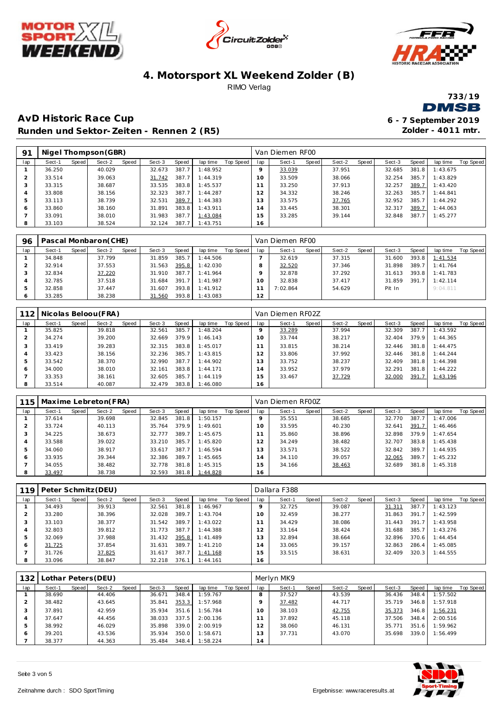







**Zolder - 4011 mtr.**

### **AvD Historic Race Cup 6 - 7 September 2019 Runden und Sektor-Zeiten - Rennen 2 (R5)**

| -91 | Nigel Thompson (GBR) |       |        |       |        |       |          |           |                | Van Diemen RF00 |       |        |       |        |       |          |           |
|-----|----------------------|-------|--------|-------|--------|-------|----------|-----------|----------------|-----------------|-------|--------|-------|--------|-------|----------|-----------|
| lap | Sect-1               | Speed | Sect-2 | Speed | Sect-3 | Speed | lap time | Top Speed | lap            | Sect-1          | Speed | Sect-2 | Speed | Sect-3 | Speed | lap time | Top Speed |
|     | 36.250               |       | 40.029 |       | 32.673 | 387.7 | 1:48.952 |           |                | 33.039          |       | 37.951 |       | 32.685 | 381.8 | 1:43.675 |           |
|     | 33.514               |       | 39.063 |       | 31.742 | 387.7 | 1:44.319 |           | ' O            | 33.509          |       | 38.066 |       | 32.254 | 385.7 | 1:43.829 |           |
|     | 33.315               |       | 38.687 |       | 33.535 | 383.8 | 1:45.537 |           |                | 33.250          |       | 37.913 |       | 32.257 | 389.7 | 1:43.420 |           |
|     | 33.808               |       | 38.156 |       | 32.323 | 387.7 | 1:44.287 |           | 2              | 34.332          |       | 38.246 |       | 32.263 | 385.7 | 1:44.841 |           |
| Þ   | 33.113               |       | 38.739 |       | 32.531 | 389.7 | 1:44.383 |           | 3              | 33.575          |       | 37.765 |       | 32.952 | 385.7 | 1:44.292 |           |
| ō   | 33.860               |       | 38.160 |       | 31.891 | 383.8 | 1:43.911 |           | $\overline{A}$ | 33.445          |       | 38.301 |       | 32.317 | 389.7 | 1:44.063 |           |
|     | 33.091               |       | 38.010 |       | 31.983 | 387.7 | 1:43.084 |           | 5              | 33.285          |       | 39.144 |       | 32.848 | 387.7 | 1:45.277 |           |
| 8   | 33.103               |       | 38.524 |       | 32.124 | 387.7 | 1:43.751 |           | 16             |                 |       |        |       |        |       |          |           |

| 96  |        |       | Pascal Monbaron(CHE) |       |        |              |          |           |     | Van Diemen RF00 |       |        |       |        |       |          |           |
|-----|--------|-------|----------------------|-------|--------|--------------|----------|-----------|-----|-----------------|-------|--------|-------|--------|-------|----------|-----------|
| lap | Sect-1 | Speed | Sect-2               | Speed | Sect-3 | Speed        | lap time | Top Speed | lap | Sect-1          | Speed | Sect-2 | Speed | Sect-3 | Speed | lap time | Top Speed |
|     | 34.848 |       | 37.799               |       | 31.859 | 385.7        | 1:44.506 |           |     | 32.619          |       | 37.315 |       | 31.600 | 393.8 | 1:41.534 |           |
|     | 32.914 |       | 37.553               |       | 31.563 | 395.8        | 1:42.030 |           |     | 32.520          |       | 37.346 |       | 31.898 | 389.7 | 1:41.764 |           |
|     | 32.834 |       | 37.220               |       | 31.910 | 387.7        | 1:41.964 |           |     | 32.878          |       | 37.292 |       | 31.613 | 393.8 | 1:41.783 |           |
|     | 32.785 |       | 37.518               |       | 31.684 | 391<br>- 7 I | 1:41.987 |           | 10  | 32.838          |       | 37.417 |       | 31.859 | 391.7 | 1:42.114 |           |
|     | 32.858 |       | 37.447               |       | 31.607 | 393.8        | 1:41.912 |           |     | 7:02.864        |       | 54.629 |       | Pit In |       | 9:04.811 |           |
|     | 33.285 |       | 38.238               |       | 31.560 | 393.8        | 1:43.083 |           | 12  |                 |       |        |       |        |       |          |           |

| 112 |        |       | Nicolas Beloou (FRA) |       |        |       |          |           |                | Van Diemen RF02Z |       |        |       |        |       |          |           |
|-----|--------|-------|----------------------|-------|--------|-------|----------|-----------|----------------|------------------|-------|--------|-------|--------|-------|----------|-----------|
| lap | Sect-1 | Speed | Sect-2               | Speed | Sect-3 | Speed | lap time | Top Speed | lap            | Sect-1           | Speed | Sect-2 | Speed | Sect-3 | Speed | lap time | Top Speed |
|     | 35.825 |       | 39.818               |       | 32.561 | 385.7 | 1:48.204 |           |                | 33.289           |       | 37.994 |       | 32.309 | 387.7 | 1:43.592 |           |
|     | 34.274 |       | 39.200               |       | 32.669 | 379.9 | 1:46.143 |           | $10^{-}$       | 33.744           |       | 38.217 |       | 32.404 | 379.9 | 1:44.365 |           |
| 3   | 33.419 |       | 39.283               |       | 32.315 | 383.8 | 1:45.017 |           |                | 33.815           |       | 38.214 |       | 32.446 | 381.8 | 1:44.475 |           |
| 4   | 33.423 |       | 38.156               |       | 32.236 | 385.7 | 1:43.815 |           | $\overline{2}$ | 33.806           |       | 37.992 |       | 32.446 | 381.8 | 1:44.244 |           |
| 5   | 33.542 |       | 38.370               |       | 32.990 | 387.7 | 1:44.902 |           | 3              | 33.752           |       | 38.237 |       | 32.409 | 381.8 | 1:44.398 |           |
| 6   | 34.000 |       | 38.010               |       | 32.161 | 383.8 | 1:44.171 |           | $\overline{A}$ | 33.952           |       | 37.979 |       | 32.291 | 381.8 | 1:44.222 |           |
|     | 33.353 |       | 38.161               |       | 32.605 | 385.7 | 1:44.119 |           | 5              | 33.467           |       | 37.729 |       | 32.000 | 391.7 | 1:43.196 |           |
| 8   | 33.514 |       | 40.087               |       | 32.479 | 383.8 | 1:46.080 |           | 16             |                  |       |        |       |        |       |          |           |

| 115.          |        |       | Maxime Lebreton(FRA) |       |        |       |          |           |     | Van Diemen RF00Z |       |        |       |        |       |          |           |
|---------------|--------|-------|----------------------|-------|--------|-------|----------|-----------|-----|------------------|-------|--------|-------|--------|-------|----------|-----------|
| lap           | Sect-1 | Speed | Sect-2               | Speed | Sect-3 | Speed | lap time | Top Speed | lap | Sect-1           | Speed | Sect-2 | Speed | Sect-3 | Speed | lap time | Top Speed |
|               | 37.614 |       | 39.698               |       | 32.845 | 381.8 | 1:50.157 |           |     | 35.551           |       | 38.685 |       | 32.770 | 387.7 | 1:47.006 |           |
|               | 33.724 |       | 40.113               |       | 35.764 | 379.9 | 1:49.601 |           | 10  | 33.595           |       | 40.230 |       | 32.641 | 391.7 | 1:46.466 |           |
|               | 34.225 |       | 38.673               |       | 32.777 | 389.7 | 1:45.675 |           |     | 35.860           |       | 38.896 |       | 32.898 | 379.9 | 1:47.654 |           |
|               | 33.588 |       | 39.022               |       | 33.210 | 385.7 | 1:45.820 |           |     | 34.249           |       | 38.482 |       | 32.707 | 383.8 | 1:45.438 |           |
| $\mathcal{P}$ | 34.060 |       | 38.917               |       | 33.617 | 387.7 | 1:46.594 |           | 13  | 33.571           |       | 38.522 |       | 32.842 | 389.7 | 1:44.935 |           |
| 6             | 33.935 |       | 39.344               |       | 32.386 | 389.7 | 1:45.665 |           | 14  | 34.110           |       | 39.057 |       | 32.065 | 389.7 | 1:45.232 |           |
|               | 34.055 |       | 38.482               |       | 32.778 | 381.8 | 1:45.315 |           | 15  | 34.166           |       | 38.463 |       | 32.689 | 381.8 | 1:45.318 |           |
| 8             | 33.497 |       | 38.738               |       | 32.593 | 381.8 | 1:44.828 |           | 16  |                  |       |        |       |        |       |          |           |

| 119 |        |       | Peter Schmitz (DEU) |       |        |       |          |           |                | Dallara F388 |       |        |       |        |       |          |           |
|-----|--------|-------|---------------------|-------|--------|-------|----------|-----------|----------------|--------------|-------|--------|-------|--------|-------|----------|-----------|
| lap | Sect-1 | Speed | Sect-2              | Speed | Sect-3 | Speed | lap time | Top Speed | lap            | Sect-1       | Speed | Sect-2 | Speed | Sect-3 | Speed | lap time | Top Speed |
|     | 34.493 |       | 39.913              |       | 32.561 | 381.8 | 1:46.967 |           |                | 32.725       |       | 39.087 |       | 31.311 | 387.7 | 1:43.123 |           |
|     | 33.280 |       | 38.396              |       | 32.028 | 389.7 | 1:43.704 |           | 10             | 32.459       |       | 38.277 |       | 31.863 | 391.7 | 1:42.599 |           |
|     | 33.103 |       | 38.377              |       | 31.542 | 389.7 | 1:43.022 |           |                | 34.429       |       | 38.086 |       | 31.443 | 391.7 | 1:43.958 |           |
|     | 32.803 |       | 39.812              |       | 31.773 | 387.7 | 1:44.388 |           | $\overline{2}$ | 33.164       |       | 38.424 |       | 31.688 | 385.7 | 1:43.276 |           |
| Þ   | 32.069 |       | 37.988              |       | 31.432 | 395.8 | 1:41.489 |           | 3              | 32.894       |       | 38.664 |       | 32.896 | 370.6 | 1:44.454 |           |
| O   | 31.725 |       | 37.854              |       | 31.631 | 389.7 | 1:41.210 |           | 14             | 33.065       |       | 39.157 |       | 32.863 | 286.4 | 1:45.085 |           |
|     | 31.726 |       | 37.825              |       | 31.617 | 387.7 | 1:41.168 |           | 5              | 33.515       |       | 38.631 |       | 32.409 | 320.3 | 1:44.555 |           |
| ే   | 33.096 |       | 38.847              |       | 32.218 | 376.1 | 1:44.161 |           | 16             |              |       |        |       |        |       |          |           |

| 132           |        |       | Lothar Peters (DEU) |       |        |       |          |           |     | Merlvn MK9 |       |        |       |        |       |          |           |
|---------------|--------|-------|---------------------|-------|--------|-------|----------|-----------|-----|------------|-------|--------|-------|--------|-------|----------|-----------|
| lap           | Sect-1 | Speed | Sect-2              | Speed | Sect-3 | Speed | lap time | Top Speed | lap | Sect-1     | Speed | Sect-2 | Speed | Sect-3 | Speed | lap time | Top Speed |
|               | 38.690 |       | 44.406              |       | 36.671 | 348.4 | 1:59.767 |           |     | 37.527     |       | 43.539 |       | 36.436 | 348.4 | 1:57.502 |           |
|               | 38.482 |       | 43.645              |       | 35.841 | 353.3 | 1:57.968 |           |     | 37.482     |       | 44.717 |       | 35.719 | 346.8 | 1:57.918 |           |
|               | 37.891 |       | 42.959              |       | 35.934 | 351.6 | 1:56.784 |           | 10  | 38.103     |       | 42.755 |       | 35.373 | 346.8 | 1:56.231 |           |
|               | 37.647 |       | 44.456              |       | 38.033 | 337.5 | 2:00.136 |           |     | 37.892     |       | 45.118 |       | 37.506 | 348.4 | 2:00.516 |           |
| $\mathcal{P}$ | 38.992 |       | 46.029              |       | 35.898 | 339.0 | 2:00.919 |           | 2   | 38.060     |       | 46.131 |       | 35.771 | 351.6 | 1:59.962 |           |
| 6             | 39.201 |       | 43.536              |       | 35.934 | 350.0 | 1:58.671 |           | 3   | 37.731     |       | 43.070 |       | 35.698 | 339.0 | 1:56.499 |           |
|               | 38.377 |       | 44.363              |       | 35.484 | 348.4 | 1:58.224 |           | 14  |            |       |        |       |        |       |          |           |

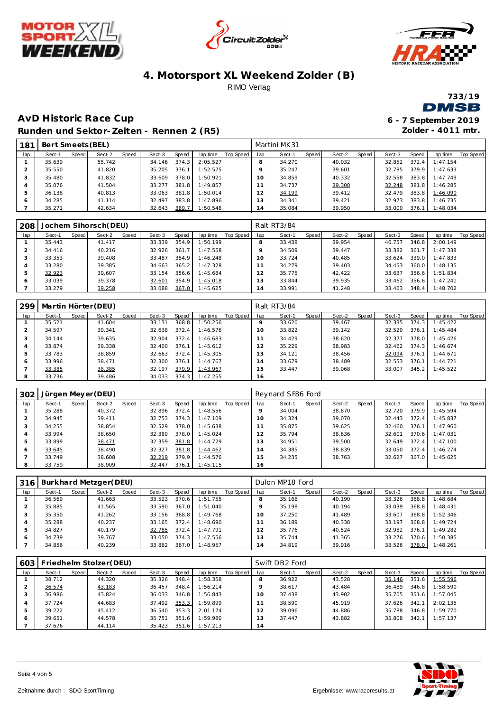







**AvD Historic Race Cup 6 - 7 September 2019 Runden und Sektor-Zeiten - Rennen 2 (R5)**

**Zolder - 4011 mtr.**

| 181 | Bert Smeets (BEL) |       |        |       |        |       |          |           |     | Martini MK31 |       |        |       |        |       |          |           |
|-----|-------------------|-------|--------|-------|--------|-------|----------|-----------|-----|--------------|-------|--------|-------|--------|-------|----------|-----------|
| lap | Sect-1            | Speed | Sect-2 | Speed | Sect-3 | Speed | lap time | Top Speed | lap | Sect-1       | Speed | Sect-2 | Speed | Sect-3 | Speed | lap time | Top Speed |
|     | 35.639            |       | 55.742 |       | 34.146 | 374.3 | 2:05.527 |           | 8   | 34.270       |       | 40.032 |       | 32.852 | 372.4 | 1:47.154 |           |
|     | 35.550            |       | 41.820 |       | 35.205 | 376.1 | 1:52.575 |           | o   | 35.247       |       | 39.601 |       | 32.785 | 379.9 | 1:47.633 |           |
|     | 35.480            |       | 41.832 |       | 33.609 | 378.0 | 1:50.921 |           | 10  | 34.859       |       | 40.332 |       | 32.558 | 383.8 | 1:47.749 |           |
|     | 35.076            |       | 41.504 |       | 33.277 | 381.8 | 1:49.857 |           |     | 34.737       |       | 39.300 |       | 32.248 | 381.8 | 1:46.285 |           |
|     | 36.138            |       | 40.813 |       | 33.063 | 381.8 | 1:50.014 |           | 12  | 34.199       |       | 39.412 |       | 32.479 | 383.8 | 1:46.090 |           |
| 6   | 34.285            |       | 41.114 |       | 32.497 | 383.8 | 1:47.896 |           | 13  | 34.341       |       | 39.421 |       | 32.973 | 383.8 | 1:46.735 |           |
|     | 35.271            |       | 42.634 |       | 32.643 | 389.7 | 1:50.548 |           | 14  | 35.084       |       | 39.950 |       | 33,000 | 376.1 | 1:48.034 |           |

| 208 |        |         | Jochem Sihorsch (DEU) |       |        |       |          |           |                | Ralt RT3/84 |       |        |       |        |       |          |                  |
|-----|--------|---------|-----------------------|-------|--------|-------|----------|-----------|----------------|-------------|-------|--------|-------|--------|-------|----------|------------------|
| lap | Sect-1 | Speed I | Sect-2                | Speed | Sect-3 | Speed | lap time | Top Speed | lap            | Sect-1      | Speed | Sect-2 | Speed | Sect-3 | Speed | lap time | <b>Top Speed</b> |
|     | 35.443 |         | 41.417                |       | 33.339 | 354.9 | 1:50.199 |           |                | 33.438      |       | 39.954 |       | 46.757 | 346.8 | 2:00.149 |                  |
|     | 34.416 |         | 40.216                |       | 32.926 | 361   | 1:47.558 |           |                | 34.509      |       | 39.447 |       | 33.382 | 361.7 | 1:47.338 |                  |
|     | 33.353 |         | 39.408                |       | 33.487 | 354.9 | 1:46.248 |           |                | 33.724      |       | 40.485 |       | 33.624 | 339.0 | 1:47.833 |                  |
|     | 33.280 |         | 39.385                |       | 34.663 | 365.2 | 1:47.328 |           |                | 34.279      |       | 39.403 |       | 34.453 | 360.0 | 1:48.135 |                  |
|     | 32.923 |         | 39.607                |       | 33.154 | 356.6 | 1:45.684 |           | $\overline{2}$ | 35.775      |       | 42.422 |       | 33.637 | 356.6 | 1:51.834 |                  |
| ō   | 33.039 |         | 39.378                |       | 32.601 | 354.9 | 1:45.018 |           | 3              | 33.844      |       | 39.935 |       | 33.462 | 356.6 | 1:47.241 |                  |
|     | 33.279 |         | 39.258                |       | 33.088 | 367.0 | 1:45.625 |           | 14             | 33.991      |       | 41.248 |       | 33.463 | 348.4 | 1:48.702 |                  |

| 299 |        |       | Martin Hörter (DEU) |       |        |       |          |           |     | Ralt RT3/84 |       |        |       |        |       |          |           |
|-----|--------|-------|---------------------|-------|--------|-------|----------|-----------|-----|-------------|-------|--------|-------|--------|-------|----------|-----------|
| lap | Sect-1 | Speed | Sect-2              | Speed | Sect-3 | Speed | lap time | Top Speed | lap | Sect-1      | Speed | Sect-2 | Speed | Sect-3 | Speed | lap time | Top Speed |
|     | 35.521 |       | 41.604              |       | 33.131 | 368.8 | 1:50.256 |           |     | 33.620      |       | 39.467 |       | 32.335 | 374.3 | 1:45.422 |           |
|     | 34.597 |       | 39.341              |       | 32.638 | 372.4 | 1:46.576 |           | 10  | 33.822      |       | 39.142 |       | 32.520 | 376.1 | 1:45.484 |           |
| 3   | 34.144 |       | 39.635              |       | 32.904 | 372.4 | 1:46.683 |           |     | 34.429      |       | 38.620 |       | 32.377 | 378.0 | 1:45.426 |           |
| 4   | 33.874 |       | 39.338              |       | 32.400 | 376.1 | 1:45.612 |           |     | 35.229      |       | 38.983 |       | 32.462 | 374.3 | 1:46.674 |           |
| ь   | 33.783 |       | 38.859              |       | 32.663 | 372.4 | 1:45.305 |           | 13  | 34.121      |       | 38.456 |       | 32.094 | 376.1 | 1:44.671 |           |
| 6   | 33.996 |       | 38.471              |       | 32.300 | 376.1 | 1:44.767 |           | 14  | 33.679      |       | 38.489 |       | 32.553 | 376.1 | 1:44.721 |           |
|     | 33.385 |       | 38.385              |       | 32.197 | 379.9 | 1:43.967 |           | 15  | 33.447      |       | 39.068 |       | 33.007 | 345.2 | 1:45.522 |           |
| 8   | 33.736 |       | 39.486              |       | 34.033 | 374.3 | 1:47.255 |           | 16  |             |       |        |       |        |       |          |           |

| 302           | Jürgen Meyer (DEU) |       |        |       |        |       |          |           |     | Reynard SF86 Ford |       |        |       |        |       |          |           |
|---------------|--------------------|-------|--------|-------|--------|-------|----------|-----------|-----|-------------------|-------|--------|-------|--------|-------|----------|-----------|
| lap           | Sect-1             | Speed | Sect-2 | Speed | Sect-3 | Speed | lap time | Top Speed | lap | Sect-1            | Speed | Sect-2 | Speed | Sect-3 | Speed | lap time | Top Speed |
|               | 35.288             |       | 40.372 |       | 32.896 | 372.4 | 1:48.556 |           |     | 34.004            |       | 38.870 |       | 32.720 | 379.9 | 1:45.594 |           |
|               | 34.945             |       | 39.411 |       | 32.753 | 374.3 | 1:47.109 |           | 10  | 34.324            |       | 39.070 |       | 32.443 | 372.4 | 1:45.837 |           |
|               | 34.255             |       | 38.854 |       | 32.529 | 378.0 | 1:45.638 |           |     | 35.875            |       | 39.625 |       | 32.460 | 376.1 | 1:47.960 |           |
|               | 33.994             |       | 38.650 |       | 32.380 | 378.0 | 1:45.024 |           |     | 35.794            |       | 38.636 |       | 32.601 | 370.6 | 1:47.031 |           |
| $\mathcal{P}$ | 33.899             |       | 38.471 |       | 32.359 | 381.8 | 1:44.729 |           | 13  | 34.951            |       | 39.500 |       | 32.649 | 372.4 | 1:47.100 |           |
| 6             | 33.645             |       | 38.490 |       | 32.327 | 381.8 | 1:44.462 |           | 14  | 34.385            |       | 38.839 |       | 33.050 | 372.4 | 1:46.274 |           |
|               | 33.749             |       | 38.608 |       | 32.219 | 379.9 | 1:44.576 |           | 15  | 34.235            |       | 38.763 |       | 32.627 | 367.0 | 1:45.625 |           |
| 8             | 33.759             |       | 38.909 |       | 32.447 | 376.1 | 1:45.115 |           | 16  |                   |       |        |       |        |       |          |           |

| 316     |        |       | Burkhard Metzger(DEU) |       |        |       |          |           |                | Dulon MP18 Ford |       |        |       |        |       |          |           |
|---------|--------|-------|-----------------------|-------|--------|-------|----------|-----------|----------------|-----------------|-------|--------|-------|--------|-------|----------|-----------|
| lap     | Sect-1 | Speed | Sect-2                | Speed | Sect-3 | Speed | lap time | Top Speed | lap            | Sect-1          | Speed | Sect-2 | Speed | Sect-3 | Speed | lap time | Top Speed |
|         | 36.569 |       | 41.663                |       | 33.523 | 370.6 | 1:51.755 |           |                | 35.168          |       | 40.190 |       | 33.326 | 368.8 | 1:48.684 |           |
|         | 35.885 |       | 41.565                |       | 33.590 | 367.0 | 1:51.040 |           |                | 35.198          |       | 40.194 |       | 33.039 | 368.8 | 1:48.431 |           |
|         | 35.350 |       | 41.262                |       | 33.156 | 368.8 | 1:49.768 |           |                | 37.250          |       | 41.489 |       | 33.607 | 368.8 | 1:52.346 |           |
| 4       | 35.288 |       | 40.237                |       | 33.165 | 372.4 | 1:48.690 |           |                | 36.189          |       | 40.338 |       | 33.197 | 368.8 | 1:49.724 |           |
| 5       | 34.827 |       | 40.179                |       | 32.785 | 372.4 | 1:47.791 |           | $\overline{2}$ | 35.776          |       | 40.524 |       | 32.982 | 376.1 | 1:49.282 |           |
| $\circ$ | 34.739 |       | 39.767                |       | 33.050 | 374.3 | 1:47.556 |           | 3              | 35.744          |       | 41.365 |       | 33.276 | 370.6 | 1:50.385 |           |
|         | 34.856 |       | 40.239                |       | 33.862 | 367.0 | 1:48.957 |           | (4)            | 34.819          |       | 39.916 |       | 33.526 | 378.0 | 1:48.261 |           |

| 603 |        |       | Friedhelm Stolzer(DEU) |       |        |       |          |           |                | Swift DB2 Ford |       |        |       |        |       |          |           |
|-----|--------|-------|------------------------|-------|--------|-------|----------|-----------|----------------|----------------|-------|--------|-------|--------|-------|----------|-----------|
| lap | Sect-1 | Speed | Sect-2                 | Speed | Sect-3 | Speed | lap time | Top Speed | lap            | Sect-1         | Speed | Sect-2 | Speed | Sect-3 | Speed | lap time | Top Speed |
|     | 38.712 |       | 44.320                 |       | 35.326 | 348.4 | 1:58.358 |           |                | 36.922         |       | 43.528 |       | 35.146 | 351.6 | 1:55.596 |           |
|     | 36.574 |       | 43.183                 |       | 36.457 | 348.4 | 1:56.214 |           |                | 38.617         |       | 43.484 |       | 36.489 | 346.8 | 1:58.590 |           |
|     | 36.986 |       | 43.824                 |       | 36.033 | 346.8 | 1:56.843 |           | 10.            | 37.438         |       | 43.902 |       | 35.705 | 351.6 | 1:57.045 |           |
|     | 37.724 |       | 44.683                 |       | 37.492 | 353.3 | 1:59.899 |           |                | 38.590         |       | 45.919 |       | 37.626 | 342.1 | 2:02.135 |           |
|     | 39.222 |       | 45.412                 |       | 36.540 | 353.3 | 2:01.174 |           | $\mathcal{P}$  | 39.096         |       | 44.886 |       | 35.788 | 346.8 | 1:59.770 |           |
|     | 39.651 |       | 44.578                 |       | 35.751 | 351.6 | 1:59.980 |           | 3              | 37.447         |       | 43.882 |       | 35.808 | 342.1 | 1:57.137 |           |
|     | 37.676 |       | 44.114                 |       | 35.423 | 351.6 | 1:57.213 |           | $\overline{4}$ |                |       |        |       |        |       |          |           |